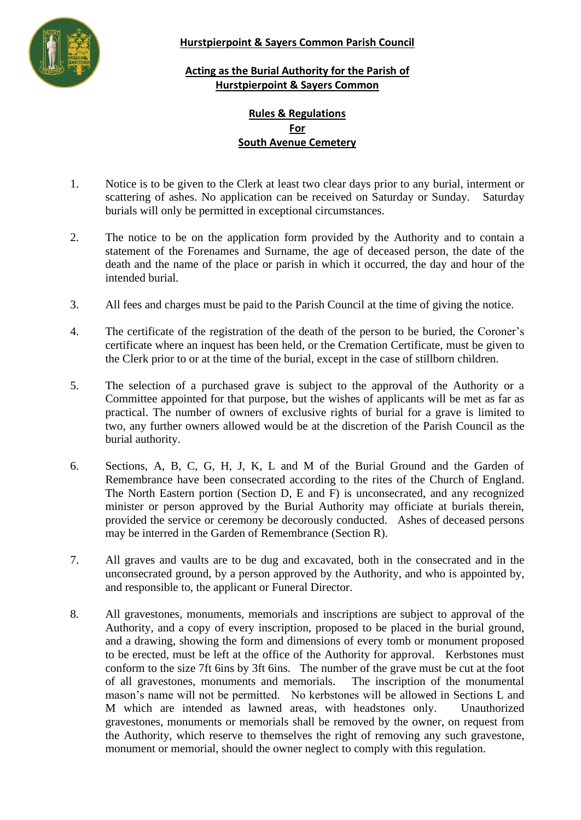

## **Hurstpierpoint & Sayers Common Parish Council**

## **Acting as the Burial Authority for the Parish of Hurstpierpoint & Sayers Common**

## **Rules & Regulations For South Avenue Cemetery**

- 1. Notice is to be given to the Clerk at least two clear days prior to any burial, interment or scattering of ashes. No application can be received on Saturday or Sunday. Saturday burials will only be permitted in exceptional circumstances.
- 2. The notice to be on the application form provided by the Authority and to contain a statement of the Forenames and Surname, the age of deceased person, the date of the death and the name of the place or parish in which it occurred, the day and hour of the intended burial.
- 3. All fees and charges must be paid to the Parish Council at the time of giving the notice.
- 4. The certificate of the registration of the death of the person to be buried, the Coroner's certificate where an inquest has been held, or the Cremation Certificate, must be given to the Clerk prior to or at the time of the burial, except in the case of stillborn children.
- 5. The selection of a purchased grave is subject to the approval of the Authority or a Committee appointed for that purpose, but the wishes of applicants will be met as far as practical. The number of owners of exclusive rights of burial for a grave is limited to two, any further owners allowed would be at the discretion of the Parish Council as the burial authority.
- 6. Sections, A, B, C, G, H, J, K, L and M of the Burial Ground and the Garden of Remembrance have been consecrated according to the rites of the Church of England. The North Eastern portion (Section D, E and F) is unconsecrated, and any recognized minister or person approved by the Burial Authority may officiate at burials therein, provided the service or ceremony be decorously conducted. Ashes of deceased persons may be interred in the Garden of Remembrance (Section R).
- 7. All graves and vaults are to be dug and excavated, both in the consecrated and in the unconsecrated ground, by a person approved by the Authority, and who is appointed by, and responsible to, the applicant or Funeral Director.
- 8. All gravestones, monuments, memorials and inscriptions are subject to approval of the Authority, and a copy of every inscription, proposed to be placed in the burial ground, and a drawing, showing the form and dimensions of every tomb or monument proposed to be erected, must be left at the office of the Authority for approval. Kerbstones must conform to the size 7ft 6ins by 3ft 6ins. The number of the grave must be cut at the foot of all gravestones, monuments and memorials. The inscription of the monumental mason's name will not be permitted. No kerbstones will be allowed in Sections L and M which are intended as lawned areas, with headstones only. Unauthorized gravestones, monuments or memorials shall be removed by the owner, on request from the Authority, which reserve to themselves the right of removing any such gravestone, monument or memorial, should the owner neglect to comply with this regulation.